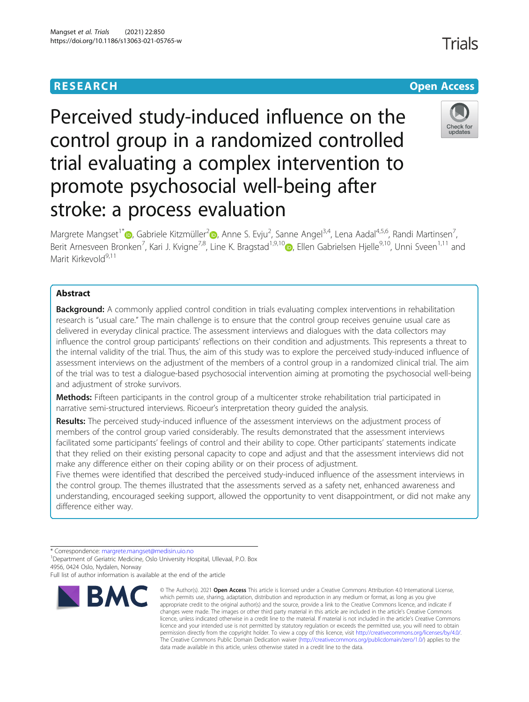# **RESEARCH CHE Open Access**



Perceived study-induced influence on the control group in a randomized controlled trial evaluating a complex intervention to promote psychosocial well-being after stroke: a process evaluation

Margrete Mangset<sup>1[\\*](http://orcid.org/0000-0002-4005-1430)</sup> (**b**[,](https://orcid.org/0000-0002-8528-6137) Gabriele Kitzmüller<sup>2</sup> (b, Anne S. Evju<sup>2</sup>, Sanne Angel<sup>3,4</sup>, Lena Aadal<sup>4,5,6</sup>, Randi Martinsen<sup>7</sup> , Berit Arnesveen Bronken<sup>7</sup>[,](https://orcid.org/0000-0002-9645-3770) Kari J. Kvigne<sup>7,8</sup>, Line K. Bragstad<sup>1,9,10</sup> $\bullet$ , Ellen Gabrielsen Hjelle<sup>9,10</sup>, Unni Sveen<sup>1,11</sup> and Marit Kirkevold<sup>9,11</sup>

## Abstract

Background: A commonly applied control condition in trials evaluating complex interventions in rehabilitation research is "usual care." The main challenge is to ensure that the control group receives genuine usual care as delivered in everyday clinical practice. The assessment interviews and dialogues with the data collectors may influence the control group participants' reflections on their condition and adjustments. This represents a threat to the internal validity of the trial. Thus, the aim of this study was to explore the perceived study-induced influence of assessment interviews on the adjustment of the members of a control group in a randomized clinical trial. The aim of the trial was to test a dialogue-based psychosocial intervention aiming at promoting the psychosocial well-being and adjustment of stroke survivors.

**Methods:** Fifteen participants in the control group of a multicenter stroke rehabilitation trial participated in narrative semi-structured interviews. Ricoeur's interpretation theory guided the analysis.

Results: The perceived study-induced influence of the assessment interviews on the adjustment process of members of the control group varied considerably. The results demonstrated that the assessment interviews facilitated some participants' feelings of control and their ability to cope. Other participants' statements indicate that they relied on their existing personal capacity to cope and adjust and that the assessment interviews did not make any difference either on their coping ability or on their process of adjustment.

Five themes were identified that described the perceived study-induced influence of the assessment interviews in the control group. The themes illustrated that the assessments served as a safety net, enhanced awareness and understanding, encouraged seeking support, allowed the opportunity to vent disappointment, or did not make any difference either way.

Full list of author information is available at the end of the article



<sup>©</sup> The Author(s), 2021 **Open Access** This article is licensed under a Creative Commons Attribution 4.0 International License, which permits use, sharing, adaptation, distribution and reproduction in any medium or format, as long as you give appropriate credit to the original author(s) and the source, provide a link to the Creative Commons licence, and indicate if changes were made. The images or other third party material in this article are included in the article's Creative Commons licence, unless indicated otherwise in a credit line to the material. If material is not included in the article's Creative Commons licence and your intended use is not permitted by statutory regulation or exceeds the permitted use, you will need to obtain permission directly from the copyright holder. To view a copy of this licence, visit [http://creativecommons.org/licenses/by/4.0/.](http://creativecommons.org/licenses/by/4.0/) The Creative Commons Public Domain Dedication waiver [\(http://creativecommons.org/publicdomain/zero/1.0/](http://creativecommons.org/publicdomain/zero/1.0/)) applies to the data made available in this article, unless otherwise stated in a credit line to the data.

<sup>\*</sup> Correspondence: [margrete.mangset@medisin.uio.no](mailto:margrete.mangset@medisin.uio.no) <sup>1</sup>

<sup>&</sup>lt;sup>1</sup>Department of Geriatric Medicine, Oslo University Hospital, Ullevaal, P.O. Box 4956, 0424 Oslo, Nydalen, Norway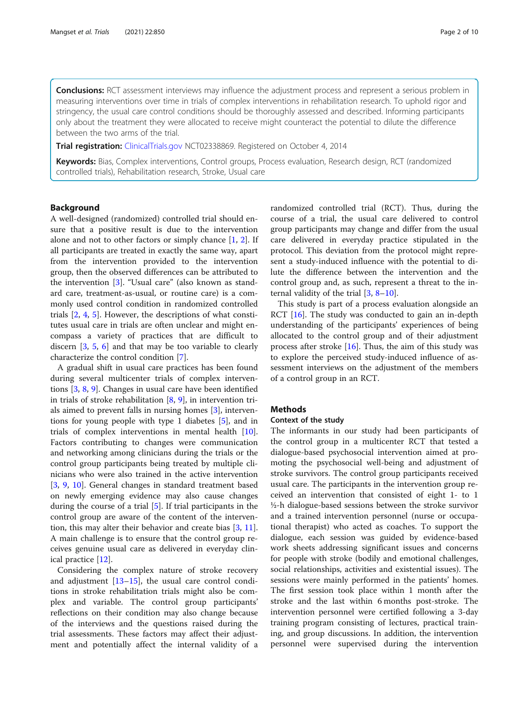**Conclusions:** RCT assessment interviews may influence the adjustment process and represent a serious problem in measuring interventions over time in trials of complex interventions in rehabilitation research. To uphold rigor and stringency, the usual care control conditions should be thoroughly assessed and described. Informing participants only about the treatment they were allocated to receive might counteract the potential to dilute the difference between the two arms of the trial.

**Trial registration:** [ClinicalTrials.gov](http://clinicaltrials.gov) NCT02338869. Registered on October 4, 2014

Keywords: Bias, Complex interventions, Control groups, Process evaluation, Research design, RCT (randomized controlled trials), Rehabilitation research, Stroke, Usual care

### Background

A well-designed (randomized) controlled trial should ensure that a positive result is due to the intervention alone and not to other factors or simply chance  $[1, 2]$  $[1, 2]$  $[1, 2]$  $[1, 2]$ . If all participants are treated in exactly the same way, apart from the intervention provided to the intervention group, then the observed differences can be attributed to the intervention [\[3\]](#page-8-0). "Usual care" (also known as standard care, treatment-as-usual, or routine care) is a commonly used control condition in randomized controlled trials [\[2](#page-8-0), [4,](#page-8-0) [5\]](#page-8-0). However, the descriptions of what constitutes usual care in trials are often unclear and might encompass a variety of practices that are difficult to discern [\[3](#page-8-0), [5,](#page-8-0) [6\]](#page-8-0) and that may be too variable to clearly characterize the control condition [[7\]](#page-8-0).

A gradual shift in usual care practices has been found during several multicenter trials of complex interventions [[3,](#page-8-0) [8,](#page-8-0) [9\]](#page-8-0). Changes in usual care have been identified in trials of stroke rehabilitation  $[8, 9]$  $[8, 9]$  $[8, 9]$  $[8, 9]$ , in intervention trials aimed to prevent falls in nursing homes [\[3](#page-8-0)], interventions for young people with type 1 diabetes [\[5](#page-8-0)], and in trials of complex interventions in mental health [\[10](#page-9-0)]. Factors contributing to changes were communication and networking among clinicians during the trials or the control group participants being treated by multiple clinicians who were also trained in the active intervention [[3,](#page-8-0) [9,](#page-8-0) [10\]](#page-9-0). General changes in standard treatment based on newly emerging evidence may also cause changes during the course of a trial  $[5]$  $[5]$  $[5]$ . If trial participants in the control group are aware of the content of the intervention, this may alter their behavior and create bias [\[3](#page-8-0), [11](#page-9-0)]. A main challenge is to ensure that the control group receives genuine usual care as delivered in everyday clinical practice [[12\]](#page-9-0).

Considering the complex nature of stroke recovery and adjustment [[13](#page-9-0)–[15](#page-9-0)], the usual care control conditions in stroke rehabilitation trials might also be complex and variable. The control group participants' reflections on their condition may also change because of the interviews and the questions raised during the trial assessments. These factors may affect their adjustment and potentially affect the internal validity of a randomized controlled trial (RCT). Thus, during the course of a trial, the usual care delivered to control group participants may change and differ from the usual care delivered in everyday practice stipulated in the protocol. This deviation from the protocol might represent a study-induced influence with the potential to dilute the difference between the intervention and the control group and, as such, represent a threat to the internal validity of the trial  $[3, 8-10]$  $[3, 8-10]$  $[3, 8-10]$  $[3, 8-10]$  $[3, 8-10]$  $[3, 8-10]$  $[3, 8-10]$ .

This study is part of a process evaluation alongside an RCT [[16](#page-9-0)]. The study was conducted to gain an in-depth understanding of the participants' experiences of being allocated to the control group and of their adjustment process after stroke [\[16\]](#page-9-0). Thus, the aim of this study was to explore the perceived study-induced influence of assessment interviews on the adjustment of the members of a control group in an RCT.

### Methods

### Context of the study

The informants in our study had been participants of the control group in a multicenter RCT that tested a dialogue-based psychosocial intervention aimed at promoting the psychosocial well-being and adjustment of stroke survivors. The control group participants received usual care. The participants in the intervention group received an intervention that consisted of eight 1- to 1 ½-h dialogue-based sessions between the stroke survivor and a trained intervention personnel (nurse or occupational therapist) who acted as coaches. To support the dialogue, each session was guided by evidence-based work sheets addressing significant issues and concerns for people with stroke (bodily and emotional challenges, social relationships, activities and existential issues). The sessions were mainly performed in the patients' homes. The first session took place within 1 month after the stroke and the last within 6 months post-stroke. The intervention personnel were certified following a 3-day training program consisting of lectures, practical training, and group discussions. In addition, the intervention personnel were supervised during the intervention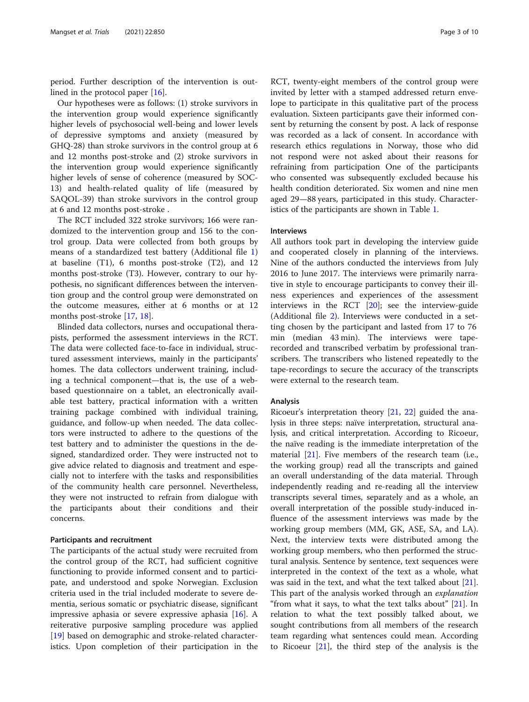period. Further description of the intervention is outlined in the protocol paper [[16\]](#page-9-0).

Our hypotheses were as follows: (1) stroke survivors in the intervention group would experience significantly higher levels of psychosocial well-being and lower levels of depressive symptoms and anxiety (measured by GHQ-28) than stroke survivors in the control group at 6 and 12 months post-stroke and (2) stroke survivors in the intervention group would experience significantly higher levels of sense of coherence (measured by SOC-13) and health-related quality of life (measured by SAQOL-39) than stroke survivors in the control group at 6 and 12 months post-stroke .

The RCT included 322 stroke survivors; 166 were randomized to the intervention group and 156 to the control group. Data were collected from both groups by means of a standardized test battery (Additional file [1](#page-8-0)) at baseline (T1), 6 months post-stroke (T2), and 12 months post-stroke (T3). However, contrary to our hypothesis, no significant differences between the intervention group and the control group were demonstrated on the outcome measures, either at 6 months or at 12 months post-stroke [[17](#page-9-0), [18](#page-9-0)].

Blinded data collectors, nurses and occupational therapists, performed the assessment interviews in the RCT. The data were collected face-to-face in individual, structured assessment interviews, mainly in the participants' homes. The data collectors underwent training, including a technical component—that is, the use of a webbased questionnaire on a tablet, an electronically available test battery, practical information with a written training package combined with individual training, guidance, and follow-up when needed. The data collectors were instructed to adhere to the questions of the test battery and to administer the questions in the designed, standardized order. They were instructed not to give advice related to diagnosis and treatment and especially not to interfere with the tasks and responsibilities of the community health care personnel. Nevertheless, they were not instructed to refrain from dialogue with the participants about their conditions and their concerns.

#### Participants and recruitment

The participants of the actual study were recruited from the control group of the RCT, had sufficient cognitive functioning to provide informed consent and to participate, and understood and spoke Norwegian. Exclusion criteria used in the trial included moderate to severe dementia, serious somatic or psychiatric disease, significant impressive aphasia or severe expressive aphasia [\[16\]](#page-9-0). A reiterative purposive sampling procedure was applied [[19\]](#page-9-0) based on demographic and stroke-related characteristics. Upon completion of their participation in the RCT, twenty-eight members of the control group were invited by letter with a stamped addressed return envelope to participate in this qualitative part of the process evaluation. Sixteen participants gave their informed consent by returning the consent by post. A lack of response was recorded as a lack of consent. In accordance with research ethics regulations in Norway, those who did not respond were not asked about their reasons for refraining from participation One of the participants who consented was subsequently excluded because his health condition deteriorated. Six women and nine men aged 29—88 years, participated in this study. Characteristics of the participants are shown in Table [1](#page-3-0).

### Interviews

All authors took part in developing the interview guide and cooperated closely in planning of the interviews. Nine of the authors conducted the interviews from July 2016 to June 2017. The interviews were primarily narrative in style to encourage participants to convey their illness experiences and experiences of the assessment interviews in the RCT [\[20](#page-9-0)]; see the interview-guide (Additional file [2\)](#page-8-0). Interviews were conducted in a setting chosen by the participant and lasted from 17 to 76 min (median 43 min). The interviews were taperecorded and transcribed verbatim by professional transcribers. The transcribers who listened repeatedly to the tape-recordings to secure the accuracy of the transcripts were external to the research team.

### Analysis

Ricoeur's interpretation theory [[21](#page-9-0), [22](#page-9-0)] guided the analysis in three steps: naïve interpretation, structural analysis, and critical interpretation. According to Ricoeur, the naïve reading is the immediate interpretation of the material [[21\]](#page-9-0). Five members of the research team (i.e., the working group) read all the transcripts and gained an overall understanding of the data material. Through independently reading and re-reading all the interview transcripts several times, separately and as a whole, an overall interpretation of the possible study-induced influence of the assessment interviews was made by the working group members (MM, GK, ASE, SA, and LA). Next, the interview texts were distributed among the working group members, who then performed the structural analysis. Sentence by sentence, text sequences were interpreted in the context of the text as a whole, what was said in the text, and what the text talked about [\[21](#page-9-0)]. This part of the analysis worked through an *explanation* "from what it says, to what the text talks about" [\[21](#page-9-0)]. In relation to what the text possibly talked about, we sought contributions from all members of the research team regarding what sentences could mean. According to Ricoeur  $[21]$  $[21]$ , the third step of the analysis is the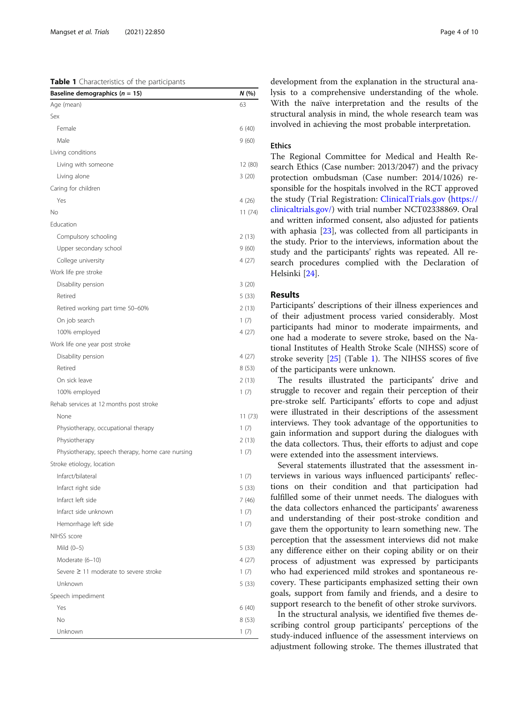### <span id="page-3-0"></span>Table 1 Characteristics of the participants

| Baseline demographics ( $n = 15$ )               | N (%)   |
|--------------------------------------------------|---------|
| Age (mean)                                       | 63      |
| Sex                                              |         |
| Female                                           | 6(40)   |
| Male                                             | 9(60)   |
| Living conditions                                |         |
| Living with someone                              | 12 (80) |
| Living alone                                     | 3(20)   |
| Caring for children                              |         |
| Yes                                              | 4(26)   |
| No                                               | 11(74)  |
| Education                                        |         |
| Compulsory schooling                             | 2(13)   |
| Upper secondary school                           | 9(60)   |
| College university                               | 4(27)   |
| Work life pre stroke                             |         |
| Disability pension                               | 3(20)   |
| Retired                                          | 5(33)   |
| Retired working part time 50-60%                 | 2 (13)  |
| On job search                                    | 1(7)    |
| 100% employed                                    | 4(27)   |
| Work life one year post stroke                   |         |
| Disability pension                               | 4(27)   |
| Retired                                          | 8(53)   |
| On sick leave                                    | 2(13)   |
| 100% employed                                    | 1(7)    |
| Rehab services at 12 months post stroke          |         |
| None                                             | 11(73)  |
| Physiotherapy, occupational therapy              | 1(7)    |
| Physiotherapy                                    | 2(13)   |
| Physiotherapy, speech therapy, home care nursing | 1(7)    |
| Stroke etiology, location                        |         |
| Infarct/bilateral                                | 1(7)    |
| Infarct right side                               | 5(33)   |
| Infarct left side                                | 7 (46)  |
| Infarct side unknown                             | 1(7)    |
| Hemorrhage left side                             | 1(7)    |
| NIHSS score                                      |         |
| Mild (0-5)                                       | 5(33)   |
| Moderate (6-10)                                  | 4(27)   |
| Severe ≥ 11 moderate to severe stroke            | 1(7)    |
| Unknown                                          | 5(33)   |
| Speech impediment                                |         |
| Yes                                              | 6(40)   |
| No                                               | 8(53)   |
| Unknown                                          | 1(7)    |

development from the explanation in the structural analysis to a comprehensive understanding of the whole. With the naïve interpretation and the results of the structural analysis in mind, the whole research team was involved in achieving the most probable interpretation.

### Ethics

The Regional Committee for Medical and Health Research Ethics (Case number: 2013/2047) and the privacy protection ombudsman (Case number: 2014/1026) responsible for the hospitals involved in the RCT approved the study (Trial Registration: [ClinicalTrials.gov](http://clinicaltrials.gov) ([https://](https://clinicaltrials.gov/) [clinicaltrials.gov/\)](https://clinicaltrials.gov/) with trial number NCT02338869. Oral and written informed consent, also adjusted for patients with aphasia [[23](#page-9-0)], was collected from all participants in the study. Prior to the interviews, information about the study and the participants' rights was repeated. All research procedures complied with the Declaration of Helsinki [[24](#page-9-0)].

### Results

Participants' descriptions of their illness experiences and of their adjustment process varied considerably. Most participants had minor to moderate impairments, and one had a moderate to severe stroke, based on the National Institutes of Health Stroke Scale (NIHSS) score of stroke severity [\[25](#page-9-0)] (Table 1). The NIHSS scores of five of the participants were unknown.

The results illustrated the participants' drive and struggle to recover and regain their perception of their pre-stroke self. Participants' efforts to cope and adjust were illustrated in their descriptions of the assessment interviews. They took advantage of the opportunities to gain information and support during the dialogues with the data collectors. Thus, their efforts to adjust and cope were extended into the assessment interviews.

Several statements illustrated that the assessment interviews in various ways influenced participants' reflections on their condition and that participation had fulfilled some of their unmet needs. The dialogues with the data collectors enhanced the participants' awareness and understanding of their post-stroke condition and gave them the opportunity to learn something new. The perception that the assessment interviews did not make any difference either on their coping ability or on their process of adjustment was expressed by participants who had experienced mild strokes and spontaneous recovery. These participants emphasized setting their own goals, support from family and friends, and a desire to support research to the benefit of other stroke survivors.

In the structural analysis, we identified five themes describing control group participants' perceptions of the study-induced influence of the assessment interviews on adjustment following stroke. The themes illustrated that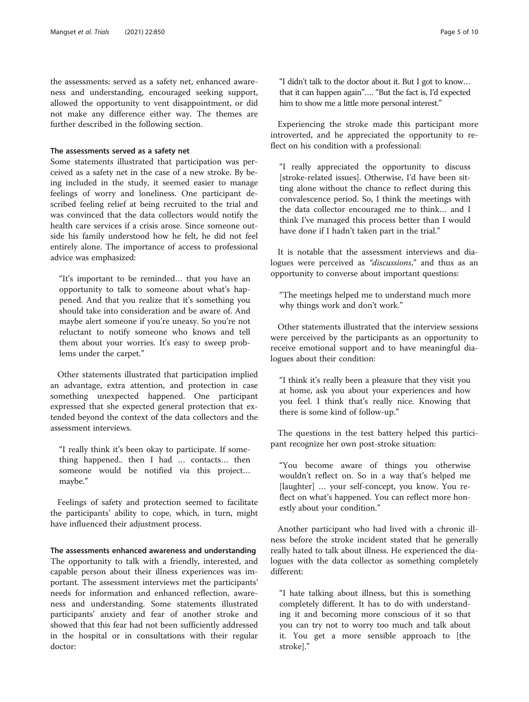the assessments: served as a safety net, enhanced awareness and understanding, encouraged seeking support, allowed the opportunity to vent disappointment, or did not make any difference either way. The themes are further described in the following section.

### The assessments served as a safety net

Some statements illustrated that participation was perceived as a safety net in the case of a new stroke. By being included in the study, it seemed easier to manage feelings of worry and loneliness. One participant described feeling relief at being recruited to the trial and was convinced that the data collectors would notify the health care services if a crisis arose. Since someone outside his family understood how he felt, he did not feel entirely alone. The importance of access to professional advice was emphasized:

"It's important to be reminded… that you have an opportunity to talk to someone about what's happened. And that you realize that it's something you should take into consideration and be aware of. And maybe alert someone if you're uneasy. So you're not reluctant to notify someone who knows and tell them about your worries. It's easy to sweep problems under the carpet."

Other statements illustrated that participation implied an advantage, extra attention, and protection in case something unexpected happened. One participant expressed that she expected general protection that extended beyond the context of the data collectors and the assessment interviews.

"I really think it's been okay to participate. If something happened.. then I had … contacts… then someone would be notified via this project… maybe."

Feelings of safety and protection seemed to facilitate the participants' ability to cope, which, in turn, might have influenced their adjustment process.

The assessments enhanced awareness and understanding The opportunity to talk with a friendly, interested, and capable person about their illness experiences was important. The assessment interviews met the participants' needs for information and enhanced reflection, awareness and understanding. Some statements illustrated participants' anxiety and fear of another stroke and showed that this fear had not been sufficiently addressed in the hospital or in consultations with their regular doctor:

"I didn't talk to the doctor about it. But I got to know… that it can happen again"…. "But the fact is, I'd expected him to show me a little more personal interest."

Experiencing the stroke made this participant more introverted, and he appreciated the opportunity to reflect on his condition with a professional:

"I really appreciated the opportunity to discuss [stroke-related issues]. Otherwise, I'd have been sitting alone without the chance to reflect during this convalescence period. So, I think the meetings with the data collector encouraged me to think… and I think I've managed this process better than I would have done if I hadn't taken part in the trial."

It is notable that the assessment interviews and dialogues were perceived as "discussions," and thus as an opportunity to converse about important questions:

"The meetings helped me to understand much more why things work and don't work."

Other statements illustrated that the interview sessions were perceived by the participants as an opportunity to receive emotional support and to have meaningful dialogues about their condition:

"I think it's really been a pleasure that they visit you at home, ask you about your experiences and how you feel. I think that's really nice. Knowing that there is some kind of follow-up."

The questions in the test battery helped this participant recognize her own post-stroke situation:

"You become aware of things you otherwise wouldn't reflect on. So in a way that's helped me [laughter] … your self-concept, you know. You reflect on what's happened. You can reflect more honestly about your condition."

Another participant who had lived with a chronic illness before the stroke incident stated that he generally really hated to talk about illness. He experienced the dialogues with the data collector as something completely different:

"I hate talking about illness, but this is something completely different. It has to do with understanding it and becoming more conscious of it so that you can try not to worry too much and talk about it. You get a more sensible approach to [the stroke]."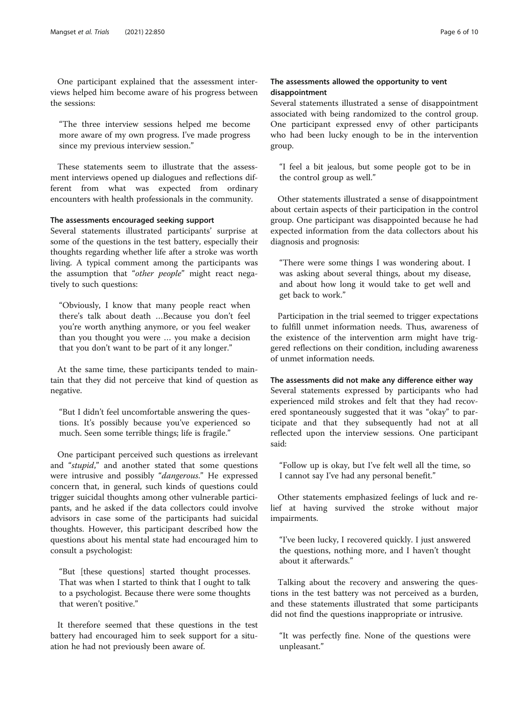One participant explained that the assessment interviews helped him become aware of his progress between the sessions:

"The three interview sessions helped me become more aware of my own progress. I've made progress since my previous interview session."

These statements seem to illustrate that the assessment interviews opened up dialogues and reflections different from what was expected from ordinary encounters with health professionals in the community.

### The assessments encouraged seeking support

Several statements illustrated participants' surprise at some of the questions in the test battery, especially their thoughts regarding whether life after a stroke was worth living. A typical comment among the participants was the assumption that "other people" might react negatively to such questions:

"Obviously, I know that many people react when there's talk about death …Because you don't feel you're worth anything anymore, or you feel weaker than you thought you were … you make a decision that you don't want to be part of it any longer."

At the same time, these participants tended to maintain that they did not perceive that kind of question as negative.

"But I didn't feel uncomfortable answering the questions. It's possibly because you've experienced so much. Seen some terrible things; life is fragile."

One participant perceived such questions as irrelevant and "stupid," and another stated that some questions were intrusive and possibly "dangerous." He expressed concern that, in general, such kinds of questions could trigger suicidal thoughts among other vulnerable participants, and he asked if the data collectors could involve advisors in case some of the participants had suicidal thoughts. However, this participant described how the questions about his mental state had encouraged him to consult a psychologist:

"But [these questions] started thought processes. That was when I started to think that I ought to talk to a psychologist. Because there were some thoughts that weren't positive."

It therefore seemed that these questions in the test battery had encouraged him to seek support for a situation he had not previously been aware of.

### The assessments allowed the opportunity to vent disappointment

Several statements illustrated a sense of disappointment associated with being randomized to the control group. One participant expressed envy of other participants who had been lucky enough to be in the intervention group.

"I feel a bit jealous, but some people got to be in the control group as well."

Other statements illustrated a sense of disappointment about certain aspects of their participation in the control group. One participant was disappointed because he had expected information from the data collectors about his diagnosis and prognosis:

"There were some things I was wondering about. I was asking about several things, about my disease, and about how long it would take to get well and get back to work."

Participation in the trial seemed to trigger expectations to fulfill unmet information needs. Thus, awareness of the existence of the intervention arm might have triggered reflections on their condition, including awareness of unmet information needs.

### The assessments did not make any difference either way

Several statements expressed by participants who had experienced mild strokes and felt that they had recovered spontaneously suggested that it was "okay" to participate and that they subsequently had not at all reflected upon the interview sessions. One participant said:

"Follow up is okay, but I've felt well all the time, so I cannot say I've had any personal benefit."

Other statements emphasized feelings of luck and relief at having survived the stroke without major impairments.

"I've been lucky, I recovered quickly. I just answered the questions, nothing more, and I haven't thought about it afterwards."

Talking about the recovery and answering the questions in the test battery was not perceived as a burden, and these statements illustrated that some participants did not find the questions inappropriate or intrusive.

"It was perfectly fine. None of the questions were unpleasant."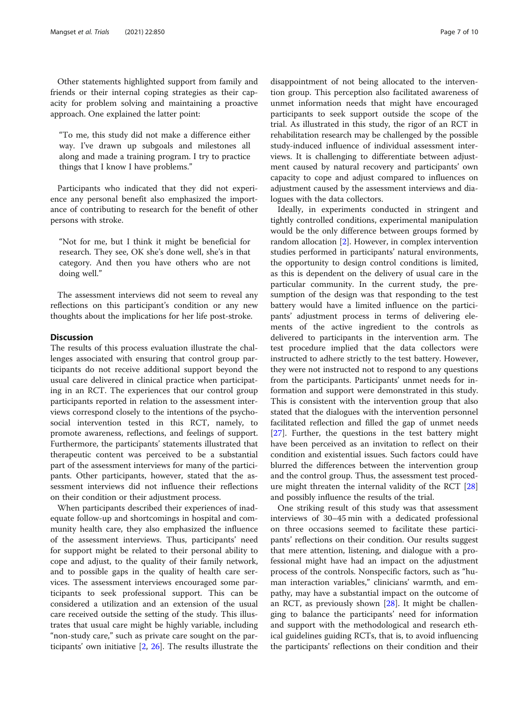Other statements highlighted support from family and friends or their internal coping strategies as their capacity for problem solving and maintaining a proactive approach. One explained the latter point:

"To me, this study did not make a difference either way. I've drawn up subgoals and milestones all along and made a training program. I try to practice things that I know I have problems."

Participants who indicated that they did not experience any personal benefit also emphasized the importance of contributing to research for the benefit of other persons with stroke.

"Not for me, but I think it might be beneficial for research. They see, OK she's done well, she's in that category. And then you have others who are not doing well."

The assessment interviews did not seem to reveal any reflections on this participant's condition or any new thoughts about the implications for her life post-stroke.

### **Discussion**

The results of this process evaluation illustrate the challenges associated with ensuring that control group participants do not receive additional support beyond the usual care delivered in clinical practice when participating in an RCT. The experiences that our control group participants reported in relation to the assessment interviews correspond closely to the intentions of the psychosocial intervention tested in this RCT, namely, to promote awareness, reflections, and feelings of support. Furthermore, the participants' statements illustrated that therapeutic content was perceived to be a substantial part of the assessment interviews for many of the participants. Other participants, however, stated that the assessment interviews did not influence their reflections on their condition or their adjustment process.

When participants described their experiences of inadequate follow-up and shortcomings in hospital and community health care, they also emphasized the influence of the assessment interviews. Thus, participants' need for support might be related to their personal ability to cope and adjust, to the quality of their family network, and to possible gaps in the quality of health care services. The assessment interviews encouraged some participants to seek professional support. This can be considered a utilization and an extension of the usual care received outside the setting of the study. This illustrates that usual care might be highly variable, including "non-study care," such as private care sought on the participants' own initiative [[2](#page-8-0), [26\]](#page-9-0). The results illustrate the

disappointment of not being allocated to the intervention group. This perception also facilitated awareness of unmet information needs that might have encouraged participants to seek support outside the scope of the trial. As illustrated in this study, the rigor of an RCT in rehabilitation research may be challenged by the possible study-induced influence of individual assessment interviews. It is challenging to differentiate between adjustment caused by natural recovery and participants' own capacity to cope and adjust compared to influences on adjustment caused by the assessment interviews and dialogues with the data collectors.

Ideally, in experiments conducted in stringent and tightly controlled conditions, experimental manipulation would be the only difference between groups formed by random allocation [\[2](#page-8-0)]. However, in complex intervention studies performed in participants' natural environments, the opportunity to design control conditions is limited, as this is dependent on the delivery of usual care in the particular community. In the current study, the presumption of the design was that responding to the test battery would have a limited influence on the participants' adjustment process in terms of delivering elements of the active ingredient to the controls as delivered to participants in the intervention arm. The test procedure implied that the data collectors were instructed to adhere strictly to the test battery. However, they were not instructed not to respond to any questions from the participants. Participants' unmet needs for information and support were demonstrated in this study. This is consistent with the intervention group that also stated that the dialogues with the intervention personnel facilitated reflection and filled the gap of unmet needs [[27\]](#page-9-0). Further, the questions in the test battery might have been perceived as an invitation to reflect on their condition and existential issues. Such factors could have blurred the differences between the intervention group and the control group. Thus, the assessment test procedure might threaten the internal validity of the RCT [[28](#page-9-0)] and possibly influence the results of the trial.

One striking result of this study was that assessment interviews of 30–45 min with a dedicated professional on three occasions seemed to facilitate these participants' reflections on their condition. Our results suggest that mere attention, listening, and dialogue with a professional might have had an impact on the adjustment process of the controls. Nonspecific factors, such as "human interaction variables," clinicians' warmth, and empathy, may have a substantial impact on the outcome of an RCT, as previously shown [\[28\]](#page-9-0). It might be challenging to balance the participants' need for information and support with the methodological and research ethical guidelines guiding RCTs, that is, to avoid influencing the participants' reflections on their condition and their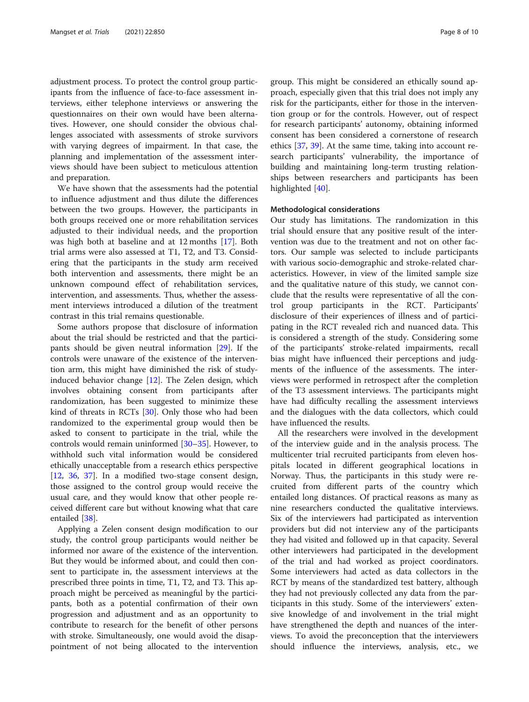adjustment process. To protect the control group participants from the influence of face-to-face assessment interviews, either telephone interviews or answering the questionnaires on their own would have been alternatives. However, one should consider the obvious challenges associated with assessments of stroke survivors with varying degrees of impairment. In that case, the planning and implementation of the assessment interviews should have been subject to meticulous attention and preparation.

We have shown that the assessments had the potential to influence adjustment and thus dilute the differences between the two groups. However, the participants in both groups received one or more rehabilitation services adjusted to their individual needs, and the proportion was high both at baseline and at 12 months [[17](#page-9-0)]. Both trial arms were also assessed at T1, T2, and T3. Considering that the participants in the study arm received both intervention and assessments, there might be an unknown compound effect of rehabilitation services, intervention, and assessments. Thus, whether the assessment interviews introduced a dilution of the treatment contrast in this trial remains questionable.

Some authors propose that disclosure of information about the trial should be restricted and that the participants should be given neutral information [[29\]](#page-9-0). If the controls were unaware of the existence of the intervention arm, this might have diminished the risk of studyinduced behavior change [[12\]](#page-9-0). The Zelen design, which involves obtaining consent from participants after randomization, has been suggested to minimize these kind of threats in RCTs [\[30](#page-9-0)]. Only those who had been randomized to the experimental group would then be asked to consent to participate in the trial, while the controls would remain uninformed [[30](#page-9-0)–[35](#page-9-0)]. However, to withhold such vital information would be considered ethically unacceptable from a research ethics perspective [[12,](#page-9-0) [36](#page-9-0), [37](#page-9-0)]. In a modified two-stage consent design, those assigned to the control group would receive the usual care, and they would know that other people received different care but without knowing what that care entailed [[38\]](#page-9-0).

Applying a Zelen consent design modification to our study, the control group participants would neither be informed nor aware of the existence of the intervention. But they would be informed about, and could then consent to participate in, the assessment interviews at the prescribed three points in time, T1, T2, and T3. This approach might be perceived as meaningful by the participants, both as a potential confirmation of their own progression and adjustment and as an opportunity to contribute to research for the benefit of other persons with stroke. Simultaneously, one would avoid the disappointment of not being allocated to the intervention

group. This might be considered an ethically sound approach, especially given that this trial does not imply any risk for the participants, either for those in the intervention group or for the controls. However, out of respect for research participants' autonomy, obtaining informed consent has been considered a cornerstone of research ethics [[37](#page-9-0), [39](#page-9-0)]. At the same time, taking into account research participants' vulnerability, the importance of building and maintaining long-term trusting relationships between researchers and participants has been highlighted [[40](#page-9-0)].

#### Methodological considerations

Our study has limitations. The randomization in this trial should ensure that any positive result of the intervention was due to the treatment and not on other factors. Our sample was selected to include participants with various socio-demographic and stroke-related characteristics. However, in view of the limited sample size and the qualitative nature of this study, we cannot conclude that the results were representative of all the control group participants in the RCT. Participants' disclosure of their experiences of illness and of participating in the RCT revealed rich and nuanced data. This is considered a strength of the study. Considering some of the participants' stroke-related impairments, recall bias might have influenced their perceptions and judgments of the influence of the assessments. The interviews were performed in retrospect after the completion of the T3 assessment interviews. The participants might have had difficulty recalling the assessment interviews and the dialogues with the data collectors, which could have influenced the results.

All the researchers were involved in the development of the interview guide and in the analysis process. The multicenter trial recruited participants from eleven hospitals located in different geographical locations in Norway. Thus, the participants in this study were recruited from different parts of the country which entailed long distances. Of practical reasons as many as nine researchers conducted the qualitative interviews. Six of the interviewers had participated as intervention providers but did not interview any of the participants they had visited and followed up in that capacity. Several other interviewers had participated in the development of the trial and had worked as project coordinators. Some interviewers had acted as data collectors in the RCT by means of the standardized test battery, although they had not previously collected any data from the participants in this study. Some of the interviewers' extensive knowledge of and involvement in the trial might have strengthened the depth and nuances of the interviews. To avoid the preconception that the interviewers should influence the interviews, analysis, etc., we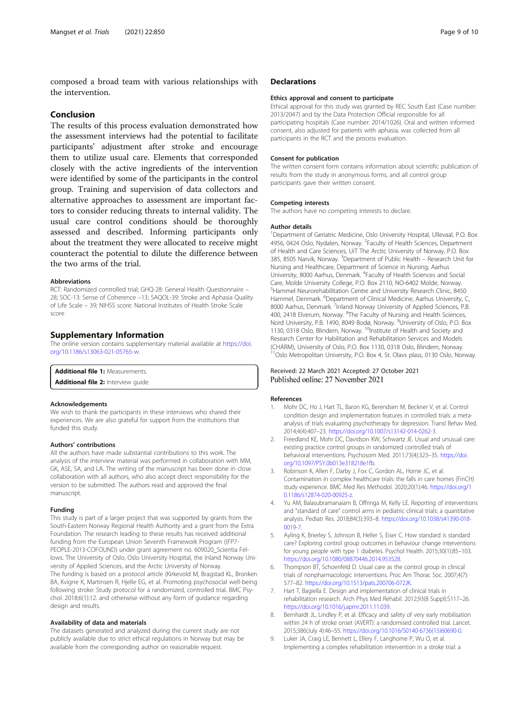<span id="page-8-0"></span>composed a broad team with various relationships with the intervention.

### Conclusion

The results of this process evaluation demonstrated how the assessment interviews had the potential to facilitate participants' adjustment after stroke and encourage them to utilize usual care. Elements that corresponded closely with the active ingredients of the intervention were identified by some of the participants in the control group. Training and supervision of data collectors and alternative approaches to assessment are important factors to consider reducing threats to internal validity. The usual care control conditions should be thoroughly assessed and described. Informing participants only about the treatment they were allocated to receive might counteract the potential to dilute the difference between the two arms of the trial.

#### Abbreviations

RCT: Randomized controlled trial; GHQ-28: General Health Questionnaire – 28; SOC-13: Sense of Coherence –13; SAQOL-39: Stroke and Aphasia Quality of Life Scale – 39; NIHSS score: National Institutes of Health Stroke Scale score

### Supplementary Information

The online version contains supplementary material available at [https://doi.](https://doi.org/10.1186/s13063-021-05765-w) [org/10.1186/s13063-021-05765-w](https://doi.org/10.1186/s13063-021-05765-w).

Additional file 1: Measurements.

Additional file 2: Interview quide

### Acknowledgements

We wish to thank the participants in these interviews who shared their experiences. We are also grateful for support from the institutions that funded this study.

#### Authors' contributions

All the authors have made substantial contributions to this work. The analysis of the interview material was performed in collaboration with MM, GK, ASE, SA, and LA. The writing of the manuscript has been done in close collaboration with all authors, who also accept direct responsibility for the version to be submitted. The authors read and approved the final manuscript.

#### Funding

This study is part of a larger project that was supported by grants from the South-Eastern Norway Regional Health Authority and a grant from the Extra Foundation. The research leading to these results has received additional funding from the European Union Seventh Framework Program ((FP7- PEOPLE-2013-COFOUND) under grant agreement no. 609020\_Scientia Fellows. The University of Oslo, Oslo University Hospital, the Inland Norway University of Applied Sciences, and the Arctic University of Norway. The funding is based on a protocol article (Kirkevold M, Bragstad KL, Bronken BA, Kvigne K, Martinsen R, Hjelle EG, et al. Promoting psychosocial well-being following stroke: Study protocol for a randomized, controlled trial. BMC Psychol. 2018;6(1):12. and otherwise without any form of guidance regarding design and results.

#### Availability of data and materials

The datasets generated and analyzed during the current study are not publicly available due to strict ethical regulations in Norway but may be available from the corresponding author on reasonable request.

### **Declarations**

#### Ethics approval and consent to participate

Ethical approval for this study was granted by REC South East (Case number: 2013/2047) and by the Data Protection Official responsible for all participating hospitals (Case number: 2014/1026). Oral and written informed consent, also adjusted for patients with aphasia, was collected from all participants in the RCT and the process evaluation.

### Consent for publication

The written consent form contains information about scientific publication of results from the study in anonymous forms, and all control group participants gave their written consent.

#### Competing interests

The authors have no competing interests to declare.

#### Author details

<sup>1</sup>Department of Geriatric Medicine, Oslo University Hospital, Ullevaal, P.O. Box 4956, 0424 Oslo, Nydalen, Norway. <sup>2</sup> Faculty of Health Sciences, Department of Health and Care Sciences, UiT The Arctic University of Norway, P.O. Box 385, 8505 Narvik, Norway. <sup>3</sup>Department of Public Health – Research Unit for Nursing and Healthcare, Department of Science in Nursing, Aarhus University, 8000 Aarhus, Denmark. <sup>4</sup> Faculty of Health Sciences and Social Care, Molde University College, P.O. Box 2110, NO-6402 Molde, Norway. 5 Hammel Neurorehabilitation Centre and University Research Clinic, 8450 Hammel, Denmark. <sup>6</sup>Department of Clinical Medicine, Aarhus University, C 8000 Aarhus, Denmark. <sup>7</sup>Inland Norway University of Applied Sciences, P.B. 400, 2418 Elverum, Norway. <sup>8</sup>The Faculty of Nursing and Health Sciences, Nord University, P.B. 1490, 8049 Bodø, Norway. <sup>9</sup>University of Oslo, P.O. Box 1130, 0318 Oslo, Blindern, Norway. <sup>10</sup>Institute of Health and Society and Research Center for Habilitation and Rehabilitation Services and Models (CHARM), University of Oslo, P.O. Box 1130, 0318 Oslo, Blindern, Norway. <sup>11</sup>Oslo Metropolitan University, P.O. Box 4, St. Olavs plass, 0130 Oslo, Norway.

### Received: 22 March 2021 Accepted: 27 October 2021 Published online: 27 November 2021

#### References

- 1. Mohr DC, Ho J, Hart TL, Baron KG, Berendsen M, Beckner V, et al. Control condition design and implementation features in controlled trials: a metaanalysis of trials evaluating psychotherapy for depression. Transl Behav Med. 2014;4(4):407–23. [https://doi.org/10.1007/s13142-014-0262-3.](https://doi.org/10.1007/s13142-014-0262-3)
- 2. Freedland KE, Mohr DC, Davidson KW, Schwartz JE. Usual and unusual care: existing practice control groups in randomized controlled trials of behavioral interventions. Psychosom Med. 2011;73(4):323–35. [https://doi.](https://doi.org/10.1097/PSY.0b013e318218e1fb) [org/10.1097/PSY.0b013e318218e1fb.](https://doi.org/10.1097/PSY.0b013e318218e1fb)
- 3. Robinson K, Allen F, Darby J, Fox C, Gordon AL, Horne JC, et al. Contamination in complex healthcare trials: the falls in care homes (FinCH) study experience. BMC Med Res Methodol. 2020;20(1):46. [https://doi.org/1](https://doi.org/10.1186/s12874-020-00925-z) [0.1186/s12874-020-00925-z](https://doi.org/10.1186/s12874-020-00925-z).
- 4. Yu AM, Balasubramanaiam B, Offringa M, Kelly LE. Reporting of interventions and "standard of care" control arms in pediatric clinical trials: a quantitative analysis. Pediatr Res. 2018;84(3):393–8. [https://doi.org/10.1038/s41390-018-](https://doi.org/10.1038/s41390-018-0019-7) [0019-7.](https://doi.org/10.1038/s41390-018-0019-7)
- 5. Ayling K, Brierley S, Johnson B, Heller S, Eiser C. How standard is standard care? Exploring control group outcomes in behaviour change interventions for young people with type 1 diabetes. Psychol Health. 2015;30(1):85–103. [https://doi.org/10.1080/08870446.2014.953528.](https://doi.org/10.1080/08870446.2014.953528)
- 6. Thompson BT, Schoenfeld D. Usual care as the control group in clinical trials of nonpharmacologic interventions. Proc Am Thorac Soc. 2007;4(7): 577–82. [https://doi.org/10.1513/pats.200706-072JK.](https://doi.org/10.1513/pats.200706-072JK)
- 7. Hart T, Bagiella E. Design and implementation of clinical trials in rehabilitation research. Arch Phys Med Rehabil. 2012;93(8 Suppl):S117–26. [https://doi.org/10.1016/j.apmr.2011.11.039.](https://doi.org/10.1016/j.apmr.2011.11.039)
- Bernhardt JL, Lindley P, et al. Efficacy and safety of very early mobilisation within 24 h of stroke onset (AVERT): a randomised controlled trial. Lancet. 2015;386(July 4):46–55. [https://doi.org/10.1016/S0140-6736\(15\)60690-0](https://doi.org/10.1016/S0140-6736(15)60690-0).
- 9. Luker JA, Craig LE, Bennett L, Ellery F, Langhorne P, Wu O, et al. Implementing a complex rehabilitation intervention in a stroke trial: a